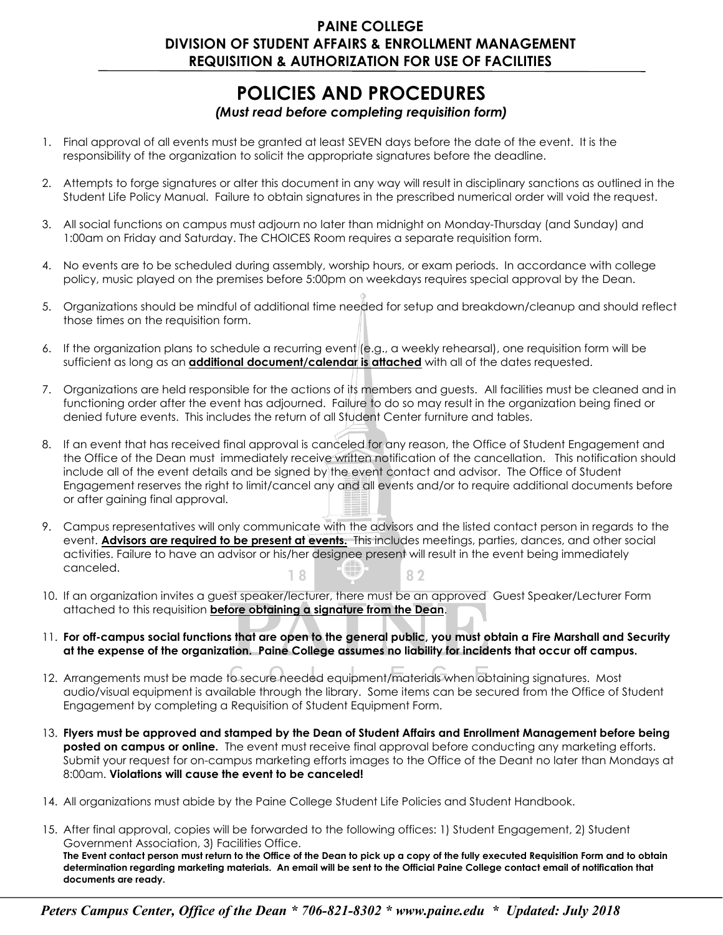## **PAINE COLLEGE DIVISION OF STUDENT AFFAIRS & ENROLLMENT MANAGEMENT REQUISITION & AUTHORIZATION FOR USE OF FACILITIES**

## **POLICIES AND PROCEDURES**

## *(Must read before completing requisition form)*

- 1. Final approval of all events must be granted at least SEVEN days before the date of the event. It is the responsibility of the organization to solicit the appropriate signatures before the deadline.
- 2. Attempts to forge signatures or alter this document in any way will result in disciplinary sanctions as outlined in the Student Life Policy Manual. Failure to obtain signatures in the prescribed numerical order will void the request.
- 3. All social functions on campus must adjourn no later than midnight on Monday-Thursday (and Sunday) and 1:00am on Friday and Saturday. The CHOICES Room requires a separate requisition form.
- 4. No events are to be scheduled during assembly, worship hours, or exam periods. In accordance with college policy, music played on the premises before 5:00pm on weekdays requires special approval by the Dean.
- 5. Organizations should be mindful of additional time needed for setup and breakdown/cleanup and should reflect those times on the requisition form.
- 6. If the organization plans to schedule a recurring event (e.g., a weekly rehearsal), one requisition form will be sufficient as long as an **additional document/calendar is attached** with all of the dates requested.
- 7. Organizations are held responsible for the actions of its members and guests. All facilities must be cleaned and in functioning order after the event has adjourned. Failure to do so may result in the organization being fined or denied future events. This includes the return of all Student Center furniture and tables.
- 8. If an event that has received final approval is canceled for any reason, the Office of Student Engagement and the Office of the Dean must immediately receive written notification of the cancellation. This notification should include all of the event details and be signed by the event contact and advisor. The Office of Student Engagement reserves the right to limit/cancel any and all events and/or to require additional documents before or after gaining final approval.
- 9. Campus representatives will only communicate with the advisors and the listed contact person in regards to the event. **Advisors are required to be present at events.** This includes meetings, parties, dances, and other social activities. Failure to have an advisor or his/her designee present will result in the event being immediately canceled.  $18$ 82
- 10. If an organization invites a guest speaker/lecturer, there must be an approved Guest Speaker/Lecturer Form attached to this requisition **before obtaining a signature from the Dean**.
- 11. **For off-campus social functions that are open to the general public, you must obtain a Fire Marshall and Security at the expense of the organization. Paine College assumes no liability for incidents that occur off campus.**
- 12. Arrangements must be made to secure needed equipment/materials when obtaining signatures. Most audio/visual equipment is available through the library. Some items can be secured from the Office of Student Engagement by completing a Requisition of Student Equipment Form.
- 13. **Flyers must be approved and stamped by the Dean of Student Affairs and Enrollment Management before being posted on campus or online.** The event must receive final approval before conducting any marketing efforts. Submit your request for on-campus marketing efforts images to the Office of the Deant no later than Mondays at 8:00am. **Violations will cause the event to be canceled!**
- 14. All organizations must abide by the Paine College Student Life Policies and Student Handbook.
- 15. After final approval, copies will be forwarded to the following offices: 1) Student Engagement, 2) Student Government Association, 3) Facilities Office. **The Event contact person must return to the Office of the Dean to pick up a copy of the fully executed Requisition Form and to obtain determination regarding marketing materials. An email will be sent to the Official Paine College contact email of notification that documents are ready.**

*Peters Campus Center, Office of the Dean \* 706-821-830[2 \\* www.paine.ed](http://www.paine.edu/)u \* Updated: July 2018*